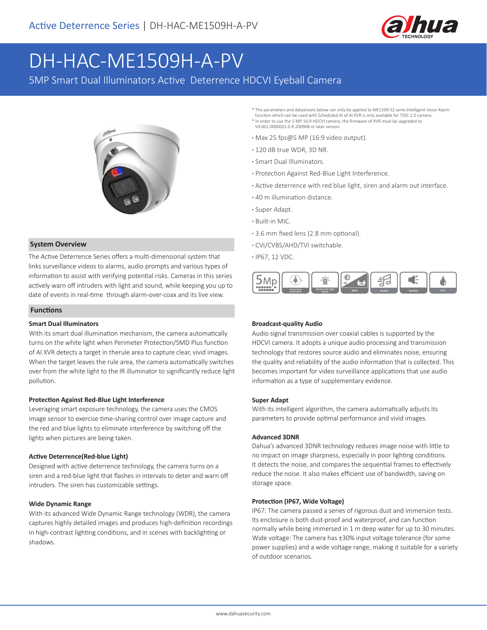

# DH-HAC-ME1509H-A-PV

5MP Smart Dual Illuminators Active Deterrence HDCVI Eyeball Camera



### **System Overview**

The Active Deterrence Series offers a multi-dimensional system that links surveillance videos to alarms, audio prompts and various types of information to assist with verifying potential risks. Cameras in this series actively warn off intruders with light and sound, while keeping you up to date of events in real-time through alarm-over-coax and its live view.

### **Functions**

#### **Smart Dual Illuminators**

With its smart dual illumination mechanism, the camera automatically turns on the white light when Perimeter Protection/SMD Plus function of AI XVR detects a target in therule area to capture clear, vivid images. When the target leaves the rule area, the camera automatically switches over from the white light to the IR illuminator to significantly reduce light pollution.

#### **Protection Against Red-Blue Light Interference**

Leveraging smart exposure technology, the camera uses the CMOS image sensor to exercise time-sharing control over image capture and the red and blue lights to eliminate interference by switching off the lights when pictures are being taken.

#### **Active Deterrence(Red-blue Light)**

Designed with active deterrence technology, the camera turns on a siren and a red-blue light that flashes in intervals to deter and warn off intruders. The siren has customizable settings.

#### **Wide Dynamic Range**

With its advanced Wide Dynamic Range technology (WDR), the camera captures highly detailed images and produces high-definition recordings in high-contrast lighting conditions, and in scenes with backlighting or shadows.

The parameters and datasheets below can only be applied to ME1509-S2 serie.Intelligent Voice Alarm function which can be used with Scheduled AI of AI XVR is only available for TiOC 2.0 camera. \* In order to use the 5 MP 16:9 HDCVI camera, the firmware of XVR must be upgraded to

- V4.001.0000001.0.R.200908 or later version. **·** Max 25 fps@5 MP (16:9 video output).
- **·** 120 dB true WDR, 3D NR.
- **·** Smart Dual Illuminators.
- **·** Protection Against Red-Blue Light Interference.
- **·** Active deterrence with red blue light, siren and alarm out interface.
- **·** 40 m illumination distance.
- **·** Super Adapt.
- **·** Built-in MIC.
- **·** 3.6 mm fixed lens (2.8 mm optional).
- **·** CVI/CVBS/AHD/TVI switchable.
- **·** IP67, 12 VDC.



#### **Broadcast-quality Audio**

Audio signal transmission over coaxial cables is supported by the HDCVI camera. It adopts a unique audio processing and transmission technology that restores source audio and eliminates noise, ensuring the quality and reliability of the audio information that is collected. This becomes important for video surveillance applications that use audio information as a type of supplementary evidence.

#### **Super Adapt**

With its intelligent algorithm, the camera automatically adjusts its parameters to provide optimal performance and vivid images.

#### **Advanced 3DNR**

Dahua's advanced 3DNR technology reduces image noise with little to no impact on image sharpness, especially in poor lighting conditions. It detects the noise, and compares the sequential frames to effectively reduce the noise. It also makes efficient use of bandwidth, saving on storage space.

#### **Protection (IP67, Wide Voltage)**

IP67: The camera passed a series of rigorous dust and immersion tests. Its enclosure is both dust-proof and waterproof, and can function normally while being immersed in 1 m deep water for up to 30 minutes. Wide voltage: The camera has ±30% input voltage tolerance (for some power supplies) and a wide voltage range, making it suitable for a variety of outdoor scenarios.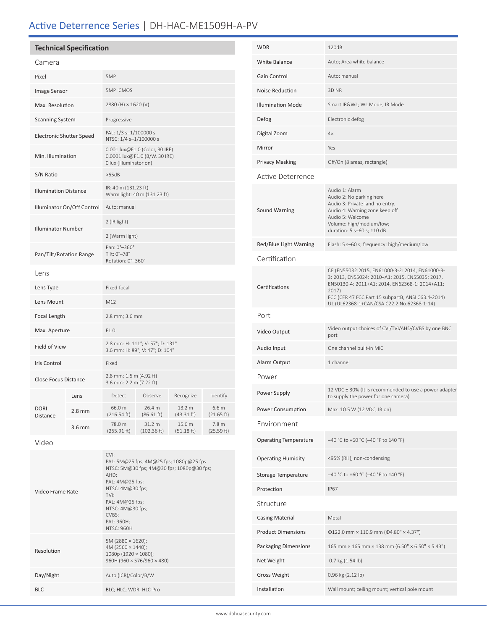## Active Deterrence Series | DH-HAC-ME1509H-A-PV

|                              | <b>Technical Specification</b> |                                                                                           |                                                                                      |                      |                     |
|------------------------------|--------------------------------|-------------------------------------------------------------------------------------------|--------------------------------------------------------------------------------------|----------------------|---------------------|
| Camera                       |                                |                                                                                           |                                                                                      |                      |                     |
| Pixel                        |                                | 5MP                                                                                       |                                                                                      |                      |                     |
| Image Sensor                 |                                | <b>5MP CMOS</b>                                                                           |                                                                                      |                      |                     |
| Max. Resolution              |                                | 2880 (H) × 1620 (V)                                                                       |                                                                                      |                      |                     |
| <b>Scanning System</b>       |                                | Progressive                                                                               |                                                                                      |                      |                     |
| Electronic Shutter Speed     |                                | PAL: 1/3 s-1/100000 s<br>NTSC: 1/4 s-1/100000 s                                           |                                                                                      |                      |                     |
| Min. Illumination            |                                | 0.001 lux@F1.0 (Color, 30 IRE)<br>0.0001 lux@F1.0 (B/W, 30 IRE)<br>0 lux (Illuminator on) |                                                                                      |                      |                     |
| S/N Ratio                    |                                | >65dB                                                                                     |                                                                                      |                      |                     |
| <b>Illumination Distance</b> |                                | IR: 40 m (131.23 ft)<br>Warm light: 40 m (131.23 ft)                                      |                                                                                      |                      |                     |
| Illuminator On/Off Control   |                                | Auto; manual                                                                              |                                                                                      |                      |                     |
| <b>Illuminator Number</b>    |                                | 2 (IR light)                                                                              |                                                                                      |                      |                     |
|                              |                                | 2 (Warm light)                                                                            |                                                                                      |                      |                     |
| Pan/Tilt/Rotation Range      |                                | Pan: 0°-360°<br>Tilt: 0°-78°<br>Rotation: 0°-360°                                         |                                                                                      |                      |                     |
| Lens                         |                                |                                                                                           |                                                                                      |                      |                     |
| Lens Type                    |                                | Fixed-focal                                                                               |                                                                                      |                      |                     |
| Lens Mount                   |                                | M12                                                                                       |                                                                                      |                      |                     |
| Focal Length                 |                                | 2.8 mm; 3.6 mm                                                                            |                                                                                      |                      |                     |
| Max. Aperture                |                                | F1.0                                                                                      |                                                                                      |                      |                     |
| Field of View                |                                | 2.8 mm: H: 111°; V: 57°; D: 131°<br>3.6 mm: H: 89°; V: 47°; D: 104°                       |                                                                                      |                      |                     |
| <b>Iris Control</b>          |                                | Fixed                                                                                     |                                                                                      |                      |                     |
| <b>Close Focus Distance</b>  |                                | 2.8 mm: 1.5 m (4.92 ft)<br>3.6 mm: 2.2 m (7.22 ft)                                        |                                                                                      |                      |                     |
| <b>DORI</b><br>Distance      | Lens                           | Detect                                                                                    | Observe                                                                              | Recognize            | Identify            |
|                              | $2.8 \text{ mm}$               | 66.0 m<br>(216.54 ft)                                                                     | 26.4 m<br>(86.61 ft)                                                                 | 13.2 m<br>(43.31 ft) | 6.6 m<br>(21.65 ft) |
|                              | 3.6 mm                         | 78.0 m<br>(255.91 ft)                                                                     | 31.2 m<br>(102.36 ft)                                                                | 15.6 m<br>(51.18 ft) | 7.8 m<br>(25.59 ft) |
| Video                        |                                |                                                                                           |                                                                                      |                      |                     |
|                              |                                | CVI:<br>AHD:                                                                              | PAL: 5M@25 fps; 4M@25 fps; 1080p@25 fps<br>NTSC: 5M@30 fps; 4M@30 fps; 1080p@30 fps; |                      |                     |

PAL: 4M@25 fps; NTSC: 4M@30 fps;

5M (2880 × 1620); 4M (2560 × 1440); 1080p (1920 × 1080); 960H (960 × 576/960 × 480)

TVI: PAL: 4M@25 fps; NTSC: 4M@30 fps; CVBS: PAL: 960H; NTSC: 960H

Day/Night Auto (ICR)/Color/B/W BLC; HLC; WDR; HLC-Pro

Video Frame Rate

Resolution

| WDR                          | 120dB                                                                                                                                                                                                                                                             |  |  |  |  |
|------------------------------|-------------------------------------------------------------------------------------------------------------------------------------------------------------------------------------------------------------------------------------------------------------------|--|--|--|--|
| <b>White Balance</b>         | Auto; Area white balance                                                                                                                                                                                                                                          |  |  |  |  |
| Gain Control                 | Auto; manual                                                                                                                                                                                                                                                      |  |  |  |  |
| Noise Reduction              | 3D NR                                                                                                                                                                                                                                                             |  |  |  |  |
| <b>Illumination Mode</b>     | Smart IR&WL WL Mode; IR Mode                                                                                                                                                                                                                                      |  |  |  |  |
| Defog                        | Electronic defog                                                                                                                                                                                                                                                  |  |  |  |  |
| Digital Zoom                 | 4x                                                                                                                                                                                                                                                                |  |  |  |  |
| Mirror                       | Yes                                                                                                                                                                                                                                                               |  |  |  |  |
| <b>Privacy Masking</b>       | Off/On (8 areas, rectangle)                                                                                                                                                                                                                                       |  |  |  |  |
| Active Deterrence            |                                                                                                                                                                                                                                                                   |  |  |  |  |
| Sound Warning                | Audio 1: Alarm<br>Audio 2: No parking here<br>Audio 3: Private land no entry.<br>Audio 4: Warning zone keep off<br>Audio 5: Welcome<br>Volume: high/medium/low;<br>duration: 5 s-60 s; 110 dB                                                                     |  |  |  |  |
| Red/Blue Light Warning       | Flash: 5 s-60 s; frequency: high/medium/low                                                                                                                                                                                                                       |  |  |  |  |
| Certification                |                                                                                                                                                                                                                                                                   |  |  |  |  |
| Certifications               | CE (EN55032:2015, EN61000-3-2: 2014, EN61000-3-<br>3: 2013, EN55024: 2010+A1: 2015, EN55035: 2017,<br>EN50130-4: 2011+A1: 2014, EN62368-1: 2014+A11:<br>2017)<br>FCC (CFR 47 FCC Part 15 subpartB, ANSI C63.4-2014)<br>UL (UL62368-1+CAN/CSA C22.2 No.62368-1-14) |  |  |  |  |
| Port                         |                                                                                                                                                                                                                                                                   |  |  |  |  |
| Video Output                 | Video output choices of CVI/TVI/AHD/CVBS by one BNC<br>port                                                                                                                                                                                                       |  |  |  |  |
| Audio Input                  | One channel built-in MIC                                                                                                                                                                                                                                          |  |  |  |  |
| Alarm Output                 | 1 channel                                                                                                                                                                                                                                                         |  |  |  |  |
| Power                        |                                                                                                                                                                                                                                                                   |  |  |  |  |
| Power Supply                 | 12 VDC ± 30% (It is recommended to use a power adapter<br>to supply the power for one camera)                                                                                                                                                                     |  |  |  |  |
| Power Consumption            | Max. 10.5 W (12 VDC, IR on)                                                                                                                                                                                                                                       |  |  |  |  |
| Environment                  |                                                                                                                                                                                                                                                                   |  |  |  |  |
| <b>Operating Temperature</b> | -40 °C to +60 °C (-40 °F to 140 °F)                                                                                                                                                                                                                               |  |  |  |  |
| <b>Operating Humidity</b>    | <95% (RH), non-condensing                                                                                                                                                                                                                                         |  |  |  |  |
| Storage Temperature          | -40 °C to +60 °C (-40 °F to 140 °F)                                                                                                                                                                                                                               |  |  |  |  |
| Protection                   | <b>IP67</b>                                                                                                                                                                                                                                                       |  |  |  |  |
| Structure                    |                                                                                                                                                                                                                                                                   |  |  |  |  |
| <b>Casing Material</b>       | Metal                                                                                                                                                                                                                                                             |  |  |  |  |
| <b>Product Dimensions</b>    | $\Phi$ 122.0 mm × 110.9 mm ( $\Phi$ 4.80" × 4.37")                                                                                                                                                                                                                |  |  |  |  |
| <b>Packaging Dimensions</b>  | 165 mm × 165 mm × 138 mm (6.50" × 6.50" × 5.43")                                                                                                                                                                                                                  |  |  |  |  |
| Net Weight                   | 0.7 kg (1.54 lb)                                                                                                                                                                                                                                                  |  |  |  |  |
| <b>Gross Weight</b>          | 0.96 kg (2.12 lb)                                                                                                                                                                                                                                                 |  |  |  |  |
| Installation                 | Wall mount; ceiling mount; vertical pole mount                                                                                                                                                                                                                    |  |  |  |  |
|                              |                                                                                                                                                                                                                                                                   |  |  |  |  |